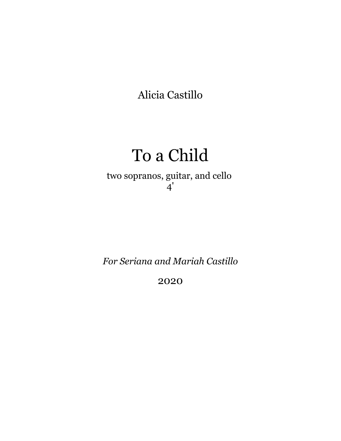Alicia Castillo

## To a Child

two sopranos, guitar, and cello 4'

*For Seriana and Mariah Castillo*

2020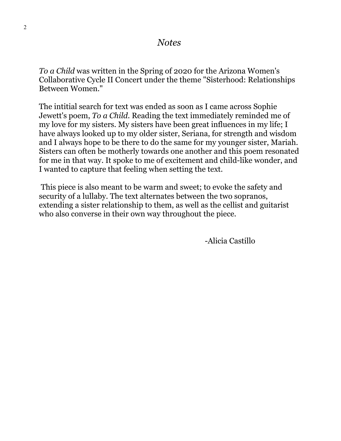*To a Child* was written in the Spring of 2020 for the Arizona Women's Collaborative Cycle II Concert under the theme "Sisterhood: Relationships Between Women."

The intitial search for text was ended as soon as I came across Sophie Jewett's poem, *To a Child*. Reading the text immediately reminded me of my love for my sisters. My sisters have been great influences in my life; I have always looked up to my older sister, Seriana, for strength and wisdom and I always hope to be there to do the same for my younger sister, Mariah. Sisters can often be motherly towards one another and this poem resonated for me in that way. It spoke to me of excitement and child-like wonder, and I wanted to capture that feeling when setting the text.

This piece is also meant to be warm and sweet; to evoke the safety and security of a lullaby. The text alternates between the two sopranos, extending a sister relationship to them, as well as the cellist and guitarist who also converse in their own way throughout the piece.

-Alicia Castillo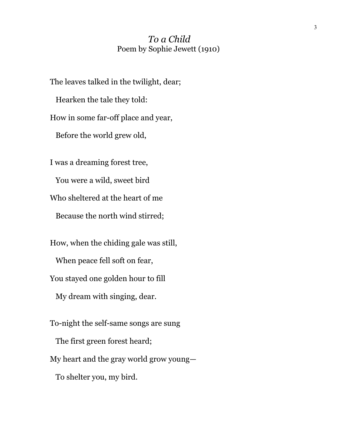## *To a Child* Poem by Sophie Jewett (1910)

The leaves talked in the twilight, dear; Hearken the tale they told: How in some far-off place and year, Before the world grew old, I was a dreaming forest tree, You were a wild, sweet bird Who sheltered at the heart of me Because the north wind stirred; How, when the chiding gale was still, When peace fell soft on fear, You stayed one golden hour to fill My dream with singing, dear. To-night the self-same songs are sung The first green forest heard; My heart and the gray world grow young—

To shelter you, my bird.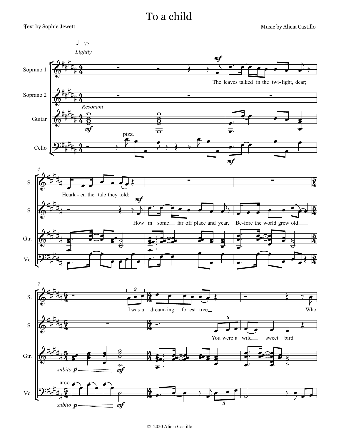Music by Alicia Castillo

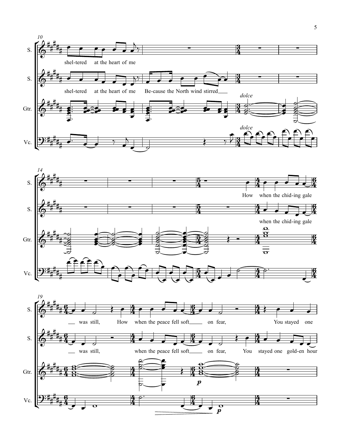



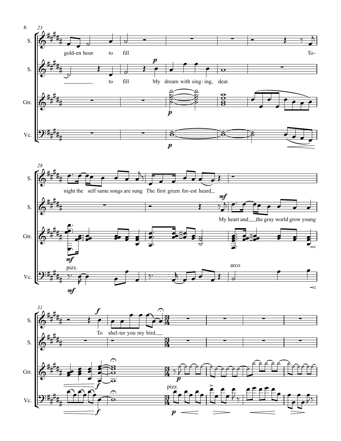



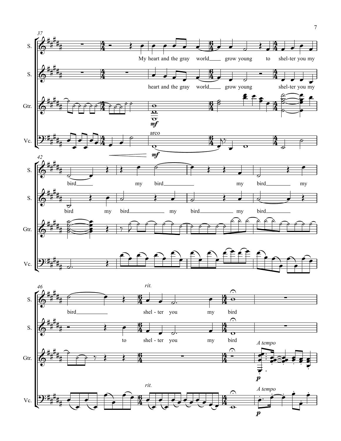